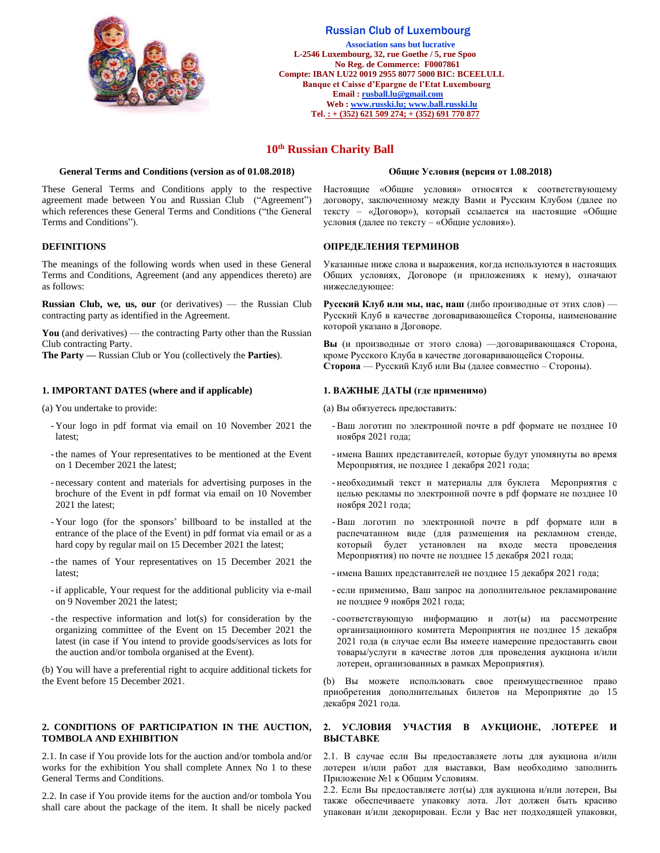

# Russian Club of Luxembourg

 **Association sans but lucrative L-2546 Luxembourg, 32, rue Goethe / 5, rue Spoo No Reg. de Commerce: F0007861 Compte: IBAN LU22 0019 2955 8077 5000 BIC: BCEELULL Banque et Caisse d'Epargne de l'Etat Luxembourg Email [: rusball.lu@gmail.com](mailto:russball.lu@gmail.com) Web [: www.russki.lu;](http://www.russki.lu/) www.ball.russki.lu Tel. : + (352) 621 509 274; + (352) 691 770 877**

# **10th Russian Charity Ball**

# **General Terms and Conditions (version as of 01.08.2018) Общие Условия (версия от 1.08.2018)**

These General Terms and Conditions apply to the respective agreement made between You and Russian Club ("Agreement") which references these General Terms and Conditions ("the General Terms and Conditions").

# **DEFINITIONS**

The meanings of the following words when used in these General Terms and Conditions, Agreement (and any appendices thereto) are as follows:

**Russian Club, we, us, our** (or derivatives) — the Russian Club contracting party as identified in the Agreement.

**You** (and derivatives) — the contracting Party other than the Russian Club contracting Party.

**The Party —** Russian Club or You (collectively the **Parties**).

# **1. IMPORTANT DATES (where and if applicable)**

(a) You undertake to provide:

- Your logo in pdf format via email on 10 November 2021 the latest;
- -the names of Your representatives to be mentioned at the Event on 1 December 2021 the latest;
- necessary content and materials for advertising purposes in the brochure of the Event in pdf format via email on 10 November 2021 the latest;
- Your logo (for the sponsors' billboard to be installed at the entrance of the place of the Event) in pdf format via email or as a hard copy by regular mail on 15 December 2021 the latest;
- -the names of Your representatives on 15 December 2021 the latest;
- -if applicable, Your request for the additional publicity via e-mail on 9 November 2021 the latest;
- -the respective information and lot(s) for consideration by the organizing committee of the Event on 15 December 2021 the latest (in case if You intend to provide goods/services as lots for the auction and/or tombola organised at the Event).

(b) You will have a preferential right to acquire additional tickets for the Event before 15 December 2021.

# **2. CONDITIONS OF PARTICIPATION IN THE AUCTION, TOMBOLA AND EXHIBITION**

2.1. In case if You provide lots for the auction and/or tombola and/or works for the exhibition You shall complete Annex No 1 to these General Terms and Conditions.

2.2. In case if You provide items for the auction and/or tombola You shall care about the package of the item. It shall be nicely packed

Настоящие «Общие условия» относятся к соответствующему договору, заключенному между Вами и Русским Клубом (далее по тексту – «Договор»), который ссылается на настоящие «Общие условия (далее по тексту – «Общие условия»).

# **ОПРЕДЕЛЕНИЯ ТЕРМИНОВ**

Указанные ниже слова и выражения, когда используются в настоящих Общих условиях, Договоре (и приложениях к нему), означают нижеследующее:

**Русский Клуб или мы, нас, наш** (либо производные от этих слов) — Русский Клуб в качестве договаривающейся Стороны, наименование которой указано в Договоре.

**Вы** (и производные от этого слова) —договаривающаяся Сторона, кроме Русского Клуба в качестве договаривающейся Стороны. **Сторона** — Русский Клуб или Вы (далее совместно – Стороны).

### **1. ВАЖНЫЕ ДАТЫ (где применимо)**

(a) Вы обязуетесь предоставить:

- -Ваш логотип по электронной почте в pdf формате не позднее 10 ноября 2021 года;
- имена Ваших представителей, которые будут упомянуты во время Мероприятия, не позднее 1 декабря 2021 года;
- необходимый текст и материалы для буклета Мероприятия с целью рекламы по электронной почте в pdf формате не позднее 10 ноября 2021 года;
- -Ваш логотип по электронной почте в pdf формате или в распечатанном виде (для размещения на рекламном стенде, который будет установлен на входе места проведения Мероприятия) по почте не позднее 15 декабря 2021 года;
- имена Ваших представителей не позднее 15 декабря 2021 года;
- если применимо, Ваш запрос на дополнительное рекламирование не позднее 9 ноября 2021 года;
- соответствующую информацию и лот(ы) на рассмотрение организационного комитета Мероприятия не позднее 15 декабря 2021 года (в случае если Вы имеете намерение предоставить свои товары/услуги в качестве лотов для проведения аукциона и/или лотереи, организованных в рамках Мероприятия).

(b) Вы можете использовать свое преимущественное право приобретения дополнительных билетов на Мероприятие до 15 декабря 2021 года.

#### **2. УСЛОВИЯ УЧАСТИЯ В АУКЦИОНЕ, ЛОТЕРЕЕ И ВЫСТАВКЕ**

2.1. В случае если Вы предоставляете лоты для аукциона и/или лотереи и/или работ для выставки, Вам необходимо заполнить Приложение №1 к Общим Условиям.

2.2. Если Вы предоставляете лот(ы) для аукциона и/или лотереи, Вы также обеспечиваете упаковку лота. Лот должен быть красиво упакован и/или декорирован. Если у Вас нет подходящей упаковки,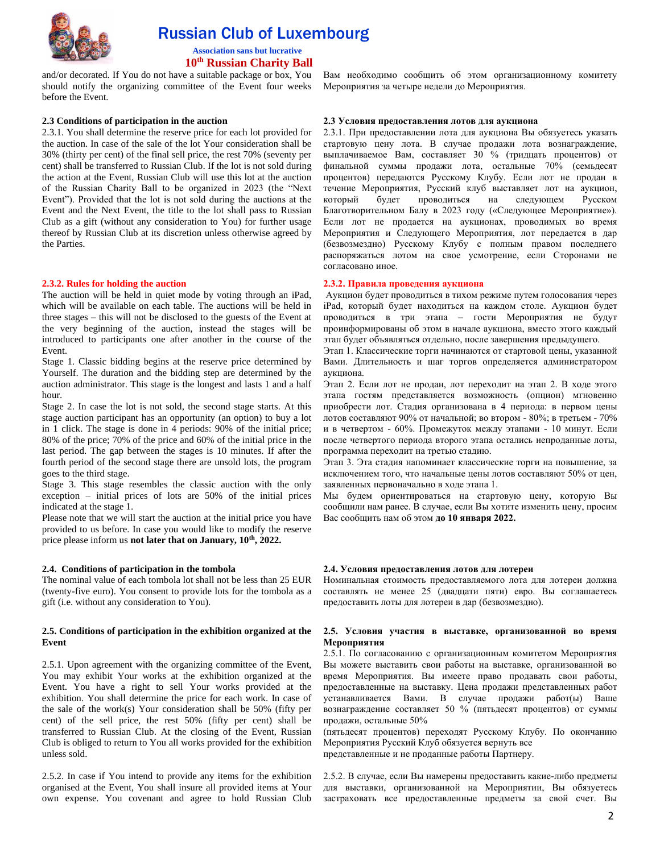

 Russian Club of Luxembourg  **Association sans but lucrative**

 **10th Russian Charity Ball** 

and/or decorated. If You do not have a suitable package or box, You should notify the organizing committee of the Event four weeks before the Event.

### **2.3 Conditions of participation in the auction**

2.3.1. You shall determine the reserve price for each lot provided for the auction. In case of the sale of the lot Your consideration shall be 30% (thirty per cent) of the final sell price, the rest 70% (seventy per cent) shall be transferred to Russian Club. If the lot is not sold during the action at the Event, Russian Club will use this lot at the auction of the Russian Charity Ball to be organized in 2023 (the "Next Event"). Provided that the lot is not sold during the auctions at the Event and the Next Event, the title to the lot shall pass to Russian Club as a gift (without any consideration to You) for further usage thereof by Russian Club at its discretion unless otherwise agreed by the Parties.

#### **2.3.2. Rules for holding the auction**

The auction will be held in quiet mode by voting through an iPad, which will be available on each table. The auctions will be held in three stages – this will not be disclosed to the guests of the Event at the very beginning of the auction, instead the stages will be introduced to participants one after another in the course of the Event.

Stage 1. Classic bidding begins at the reserve price determined by Yourself. The duration and the bidding step are determined by the auction administrator. This stage is the longest and lasts 1 and a half hour.

Stage 2. In case the lot is not sold, the second stage starts. At this stage auction participant has an opportunity (an option) to buy a lot in 1 click. The stage is done in 4 periods: 90% of the initial price; 80% of the price; 70% of the price and 60% of the initial price in the last period. The gap between the stages is 10 minutes. If after the fourth period of the second stage there are unsold lots, the program goes to the third stage.

Stage 3. This stage resembles the classic auction with the only exception – initial prices of lots are 50% of the initial prices indicated at the stage 1.

Please note that we will start the auction at the initial price you have provided to us before. In case you would like to modify the reserve price please inform us **not later that on January, 10th, 2022.** 

#### **2.4. Conditions of participation in the tombola**

The nominal value of each tombola lot shall not be less than 25 EUR (twenty-five euro). You consent to provide lots for the tombola as a gift (i.e. without any consideration to You).

# **2.5. Conditions of participation in the exhibition organized at the Event**

2.5.1. Upon agreement with the organizing committee of the Event, You may exhibit Your works at the exhibition organized at the Event. You have a right to sell Your works provided at the exhibition. You shall determine the price for each work. In case of the sale of the work(s) Your consideration shall be 50% (fifty per cent) of the sell price, the rest 50% (fifty per cent) shall be transferred to Russian Club. At the closing of the Event, Russian Club is obliged to return to You all works provided for the exhibition unless sold.

2.5.2. In case if You intend to provide any items for the exhibition organised at the Event, You shall insure all provided items at Your own expense. You covenant and agree to hold Russian Club Вам необходимо сообщить об этом организационному комитету Мероприятия за четыре недели до Мероприятия.

#### **2.3 Условия предоставления лотов для аукциона**

2.3.1. При предоставлении лота для аукциона Вы обязуетесь указать стартовую цену лота. В случае продажи лота вознаграждение, выплачиваемое Вам, составляет 30 % (тридцать процентов) от финальной суммы продажи лота, остальные 70% (семьдесят процентов) передаются Русскому Клубу. Если лот не продан в течение Мероприятия, Русский клуб выставляет лот на аукцион, который будет проводиться на следующем Русском Благотворительном Балу в 2023 году («Следующее Мероприятие»). Если лот не продается на аукционах, проводимых во время Мероприятия и Следующего Мероприятия, лот передается в дар (безвозмездно) Русскому Клубу с полным правом последнего распоряжаться лотом на свое усмотрение, если Сторонами не согласовано иное.

#### **2.3.2. Правила проведения аукциона**

Аукцион будет проводиться в тихом режиме путем голосования через iPad, который будет находиться на каждом столе. Аукцион будет проводиться в три этапа – гости Мероприятия не будут проинформированы об этом в начале аукциона, вместо этого каждый этап будет объявляться отдельно, после завершения предыдущего.

Этап 1. Классические торги начинаются от стартовой цены, указанной Вами. Длительность и шаг торгов определяется администратором аукциона.

Этап 2. Если лот не продан, лот переходит на этап 2. В ходе этого этапа гостям представляется возможность (опцион) мгновенно приобрести лот. Стадия организована в 4 периода: в первом цены лотов составляют 90% от начальной; во втором - 80%; в третьем - 70% и в четвертом - 60%. Промежуток между этапами - 10 минут. Если после четвертого периода второго этапа остались непроданные лоты, программа переходит на третью стадию.

Этап 3. Эта стадия напоминает классические торги на повышение, за исключением того, что начальные цены лотов составляют 50% от цен, заявленных первоначально в ходе этапа 1.

Мы будем ориентироваться на стартовую цену, которую Вы сообщили нам ранее. В случае, если Вы хотите изменить цену, просим Вас сообщить нам об этом **до 10 января 2022.** 

#### **2.4. Условия предоставления лотов для лотереи**

Номинальная стоимость предоставляемого лота для лотереи должна составлять не менее 25 (двадцати пяти) евро. Вы соглашаетесь предоставить лоты для лотереи в дар (безвозмездно).

#### **2.5. Условия участия в выставке, организованной во время Мероприятия**

2.5.1. По согласованию с организационным комитетом Мероприятия Вы можете выставить свои работы на выставке, организованной во время Мероприятия. Вы имеете право продавать свои работы, предоставленные на выставку. Цена продажи представленных работ устанавливается Вами. В случае продажи работ(ы) Ваше вознаграждение составляет 50 % (пятьдесят процентов) от суммы продажи, остальные 50%

(пятьдесят процентов) переходят Русскому Клубу. По окончанию Мероприятия Русский Клуб обязуется вернуть все представленные и не проданные работы Партнеру.

2.5.2. В случае, если Вы намерены предоставить какие-либо предметы для выставки, организованной на Мероприятии, Вы обязуетесь застраховать все предоставленные предметы за свой счет. Вы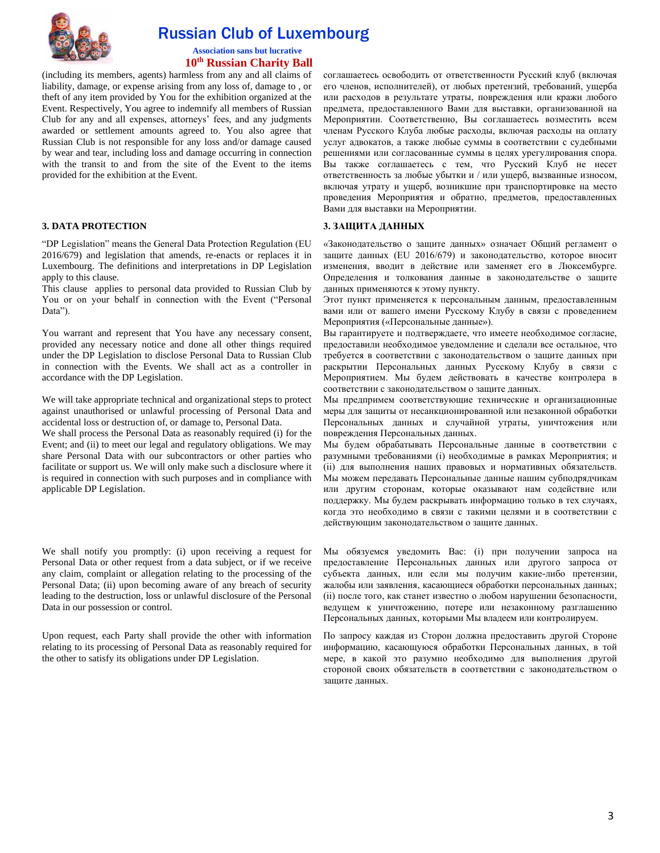

# Russian Club of Luxembourg

 **Association sans but lucrative 10th Russian Charity Ball** 

(including its members, agents) harmless from any and all claims of liability, damage, or expense arising from any loss of, damage to , or theft of any item provided by You for the exhibition organized at the Event. Respectively, You agree to indemnify all members of Russian Club for any and all expenses, attorneys' fees, and any judgments awarded or settlement amounts agreed to. You also agree that Russian Club is not responsible for any loss and/or damage caused by wear and tear, including loss and damage occurring in connection with the transit to and from the site of the Event to the items provided for the exhibition at the Event.

# **3. DATA PROTECTION**

"DP Legislation" means the General Data Protection Regulation (EU 2016/679) and legislation that amends, re-enacts or replaces it in Luxembourg. The definitions and interpretations in DP Legislation apply to this clause.

This clause applies to personal data provided to Russian Club by You or on your behalf in connection with the Event ("Personal Data").

You warrant and represent that You have any necessary consent, provided any necessary notice and done all other things required under the DP Legislation to disclose Personal Data to Russian Club in connection with the Events. We shall act as a controller in accordance with the DP Legislation.

We will take appropriate technical and organizational steps to protect against unauthorised or unlawful processing of Personal Data and accidental loss or destruction of, or damage to, Personal Data.

We shall process the Personal Data as reasonably required (i) for the Event; and (ii) to meet our legal and regulatory obligations. We may share Personal Data with our subcontractors or other parties who facilitate or support us. We will only make such a disclosure where it is required in connection with such purposes and in compliance with applicable DP Legislation.

We shall notify you promptly: (i) upon receiving a request for Personal Data or other request from a data subject, or if we receive any claim, complaint or allegation relating to the processing of the Personal Data; (ii) upon becoming aware of any breach of security leading to the destruction, loss or unlawful disclosure of the Personal Data in our possession or control.

Upon request, each Party shall provide the other with information relating to its processing of Personal Data as reasonably required for the other to satisfy its obligations under DP Legislation.

соглашаетесь освободить от ответственности Русский клуб (включая его членов, исполнителей), от любых претензий, требований, ущерба или расходов в результате утраты, повреждения или кражи любого предмета, предоставленного Вами для выставки, организованной на Мероприятии. Соответственно, Вы соглашаетесь возместить всем членам Русского Клуба любые расходы, включая расходы на оплату услуг адвокатов, а также любые суммы в соответствии с судебными решениями или согласованные суммы в целях урегулирования спора. Вы также соглашаетесь с тем, что Русский Клуб не несет ответственность за любые убытки и / или ущерб, вызванные износом, включая утрату и ущерб, возникшие при транспортировке на место проведения Мероприятия и обратно, предметов, предоставленных Вами для выставки на Мероприятии.

# **3. ЗАЩИТА ДАННЫХ**

«Законодательство о защите данных» означает Общий регламент о защите данных (EU 2016/679) и законодательство, которое вносит изменения, вводит в действие или заменяет его в Люксембурге. Определения и толкования данные в законодательстве о защите данных применяются к этому пункту.

Этот пункт применяется к персональным данным, предоставленным вами или от вашего имени Русскому Клубу в связи с проведением Мероприятия («Персональные данные»).

Вы гарантируете и подтверждаете, что имеете необходимое согласие, предоставили необходимое уведомление и сделали все остальное, что требуется в соответствии с законодательством о защите данных при раскрытии Персональных данных Русскому Клубу в связи с Мероприятием. Мы будем действовать в качестве контролера в соответствии с законодательством о защите данных.

Мы предпримем соответствующие технические и организационные меры для защиты от несанкционированной или незаконной обработки Персональных данных и случайной утраты, уничтожения или повреждения Персональных данных.

Мы будем обрабатывать Персональные данные в соответствии с разумными требованиями (i) необходимые в рамках Мероприятия; и (ii) для выполнения наших правовых и нормативных обязательств. Мы можем передавать Персональные данные нашим субподрядчикам или другим сторонам, которые оказывают нам содействие или поддержку. Мы будем раскрывать информацию только в тех случаях, когда это необходимо в связи с такими целями и в соответствии с действующим законодательством о защите данных.

Мы обязуемся уведомить Вас: (i) при получении запроса на предоставление Персональных данных или другого запроса от субъекта данных, или если мы получим какие-либо претензии, жалобы или заявления, касающиеся обработки персональных данных; (ii) после того, как станет известно о любом нарушении безопасности, ведущем к уничтожению, потере или незаконному разглашению Персональных данных, которыми Мы владеем или контролируем.

По запросу каждая из Сторон должна предоставить другой Стороне информацию, касающуюся обработки Персональных данных, в той мере, в какой это разумно необходимо для выполнения другой стороной своих обязательств в соответствии с законодательством о защите данных.